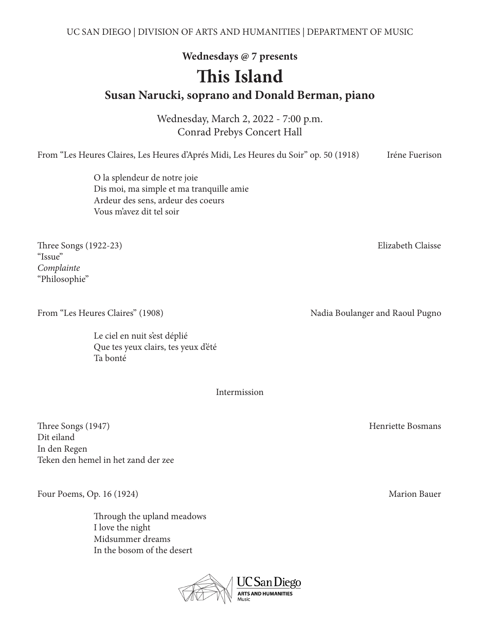**Wednesdays @ 7 presents**

# **This Island**

**Susan Narucki, soprano and Donald Berman, piano**

Wednesday, March 2, 2022 - 7:00 p.m. Conrad Prebys Concert Hall

From "Les Heures Claires, Les Heures d'Aprés Midi, Les Heures du Soir" op. 50 (1918) Iréne Fuerison

 O la splendeur de notre joie Dis moi, ma simple et ma tranquille amie Ardeur des sens, ardeur des coeurs Vous m'avez dit tel soir

Three Songs (1922-23) Elizabeth Claisse "Issue" *Complainte* "Philosophie"

From "Les Heures Claires" (1908) Nadia Boulanger and Raoul Pugno

 Le ciel en nuit s'est déplié Que tes yeux clairs, tes yeux d'été Ta bonté

Intermission

Three Songs (1947) Henriette Bosmans Dit eiland In den Regen Teken den hemel in het zand der zee

Four Poems, Op. 16 (1924) Marion Bauer

 Through the upland meadows I love the night Midsummer dreams In the bosom of the desert

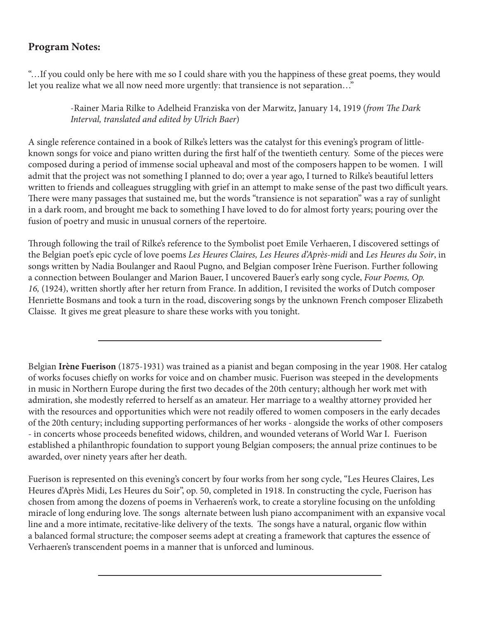## **Program Notes:**

"…If you could only be here with me so I could share with you the happiness of these great poems, they would let you realize what we all now need more urgently: that transience is not separation…"

> -Rainer Maria Rilke to Adelheid Franziska von der Marwitz, January 14, 1919 (*from The Dark Interval, translated and edited by Ulrich Baer*)

A single reference contained in a book of Rilke's letters was the catalyst for this evening's program of littleknown songs for voice and piano written during the first half of the twentieth century. Some of the pieces were composed during a period of immense social upheaval and most of the composers happen to be women. I will admit that the project was not something I planned to do; over a year ago, I turned to Rilke's beautiful letters written to friends and colleagues struggling with grief in an attempt to make sense of the past two difficult years. There were many passages that sustained me, but the words "transience is not separation" was a ray of sunlight in a dark room, and brought me back to something I have loved to do for almost forty years; pouring over the fusion of poetry and music in unusual corners of the repertoire.

Through following the trail of Rilke's reference to the Symbolist poet Emile Verhaeren, I discovered settings of the Belgian poet's epic cycle of love poems *Les Heures Claires, Les Heures d'Après-midi* and *Les Heures du Soir*, in songs written by Nadia Boulanger and Raoul Pugno, and Belgian composer Irène Fuerison. Further following a connection between Boulanger and Marion Bauer, I uncovered Bauer's early song cycle, *Four Poems, Op. 16,* (1924), written shortly after her return from France. In addition, I revisited the works of Dutch composer Henriette Bosmans and took a turn in the road, discovering songs by the unknown French composer Elizabeth Claisse. It gives me great pleasure to share these works with you tonight.

Belgian **Irène Fuerison** (1875-1931) was trained as a pianist and began composing in the year 1908. Her catalog of works focuses chiefly on works for voice and on chamber music. Fuerison was steeped in the developments in music in Northern Europe during the first two decades of the 20th century; although her work met with admiration, she modestly referred to herself as an amateur. Her marriage to a wealthy attorney provided her with the resources and opportunities which were not readily offered to women composers in the early decades of the 20th century; including supporting performances of her works - alongside the works of other composers - in concerts whose proceeds benefited widows, children, and wounded veterans of World War I. Fuerison established a philanthropic foundation to support young Belgian composers; the annual prize continues to be awarded, over ninety years after her death.

Fuerison is represented on this evening's concert by four works from her song cycle, "Les Heures Claires, Les Heures d'Après Midi, Les Heures du Soir", op. 50, completed in 1918. In constructing the cycle, Fuerison has chosen from among the dozens of poems in Verhaeren's work, to create a storyline focusing on the unfolding miracle of long enduring love. The songs alternate between lush piano accompaniment with an expansive vocal line and a more intimate, recitative-like delivery of the texts. The songs have a natural, organic flow within a balanced formal structure; the composer seems adept at creating a framework that captures the essence of Verhaeren's transcendent poems in a manner that is unforced and luminous.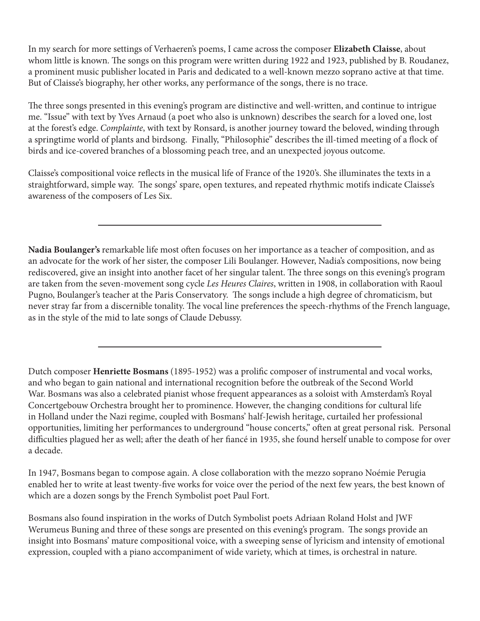In my search for more settings of Verhaeren's poems, I came across the composer **Elizabeth Claisse**, about whom little is known. The songs on this program were written during 1922 and 1923, published by B. Roudanez, a prominent music publisher located in Paris and dedicated to a well-known mezzo soprano active at that time. But of Claisse's biography, her other works, any performance of the songs, there is no trace.

The three songs presented in this evening's program are distinctive and well-written, and continue to intrigue me. "Issue" with text by Yves Arnaud (a poet who also is unknown) describes the search for a loved one, lost at the forest's edge. *Complainte*, with text by Ronsard, is another journey toward the beloved, winding through a springtime world of plants and birdsong. Finally, "Philosophie" describes the ill-timed meeting of a flock of birds and ice-covered branches of a blossoming peach tree, and an unexpected joyous outcome.

Claisse's compositional voice reflects in the musical life of France of the 1920's. She illuminates the texts in a straightforward, simple way. The songs' spare, open textures, and repeated rhythmic motifs indicate Claisse's awareness of the composers of Les Six.

**Nadia Boulanger's** remarkable life most often focuses on her importance as a teacher of composition, and as an advocate for the work of her sister, the composer Lili Boulanger. However, Nadia's compositions, now being rediscovered, give an insight into another facet of her singular talent. The three songs on this evening's program are taken from the seven-movement song cycle *Les Heures Claires*, written in 1908, in collaboration with Raoul Pugno, Boulanger's teacher at the Paris Conservatory. The songs include a high degree of chromaticism, but never stray far from a discernible tonality. The vocal line preferences the speech-rhythms of the French language, as in the style of the mid to late songs of Claude Debussy.

Dutch composer **Henriette Bosmans** (1895-1952) was a prolific composer of instrumental and vocal works, and who began to gain national and international recognition before the outbreak of the Second World War. Bosmans was also a celebrated pianist whose frequent appearances as a soloist with Amsterdam's Royal Concertgebouw Orchestra brought her to prominence. However, the changing conditions for cultural life in Holland under the Nazi regime, coupled with Bosmans' half-Jewish heritage, curtailed her professional opportunities, limiting her performances to underground "house concerts," often at great personal risk. Personal difficulties plagued her as well; after the death of her fiancé in 1935, she found herself unable to compose for over a decade.

In 1947, Bosmans began to compose again. A close collaboration with the mezzo soprano Noémie Perugia enabled her to write at least twenty-five works for voice over the period of the next few years, the best known of which are a dozen songs by the French Symbolist poet Paul Fort.

Bosmans also found inspiration in the works of Dutch Symbolist poets Adriaan Roland Holst and JWF Werumeus Buning and three of these songs are presented on this evening's program. The songs provide an insight into Bosmans' mature compositional voice, with a sweeping sense of lyricism and intensity of emotional expression, coupled with a piano accompaniment of wide variety, which at times, is orchestral in nature.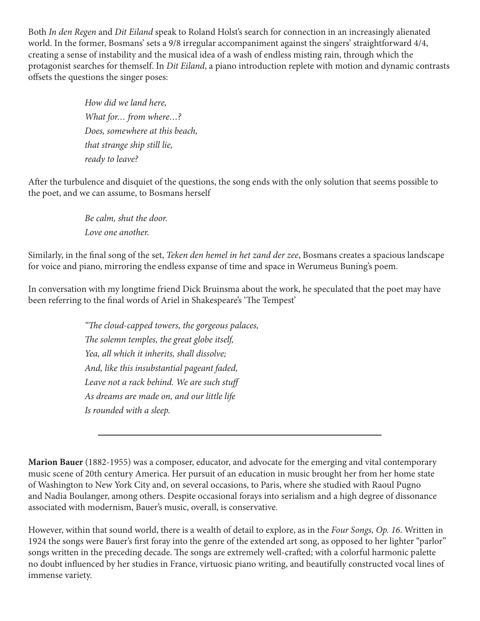Both *In den Regen* and *Dit Eiland* speak to Roland Holst's search for connection in an increasingly alienated world. In the former, Bosmans' sets a 9/8 irregular accompaniment against the singers' straightforward 4/4, creating a sense of instability and the musical idea of a wash of endless misting rain, through which the protagonist searches for themself. In *Dit Eiland*, a piano introduction replete with motion and dynamic contrasts offsets the questions the singer poses:

> *How did we land here, What for… from where…? Does, somewhere at this beach, that strange ship still lie, ready to leave?*

After the turbulence and disquiet of the questions, the song ends with the only solution that seems possible to the poet, and we can assume, to Bosmans herself

> *Be calm, shut the door. Love one another.*

Similarly, in the final song of the set, *Teken den hemel in het zand der zee*, Bosmans creates a spacious landscape for voice and piano, mirroring the endless expanse of time and space in Werumeus Buning's poem.

In conversation with my longtime friend Dick Bruinsma about the work, he speculated that the poet may have been referring to the final words of Ariel in Shakespeare's 'The Tempest'

> *"The cloud-capped towers, the gorgeous palaces, The solemn temples, the great globe itself, Yea, all which it inherits, shall dissolve; And, like this insubstantial pageant faded, Leave not a rack behind. We are such stuff As dreams are made on, and our little life Is rounded with a sleep.*

**Marion Bauer** (1882-1955) was a composer, educator, and advocate for the emerging and vital contemporary music scene of 20th century America. Her pursuit of an education in music brought her from her home state of Washington to New York City and, on several occasions, to Paris, where she studied with Raoul Pugno and Nadia Boulanger, among others. Despite occasional forays into serialism and a high degree of dissonance associated with modernism, Bauer's music, overall, is conservative.

However, within that sound world, there is a wealth of detail to explore, as in the *Four Songs, Op. 16*. Written in 1924 the songs were Bauer's first foray into the genre of the extended art song, as opposed to her lighter "parlor" songs written in the preceding decade. The songs are extremely well-crafted; with a colorful harmonic palette no doubt influenced by her studies in France, virtuosic piano writing, and beautifully constructed vocal lines of immense variety.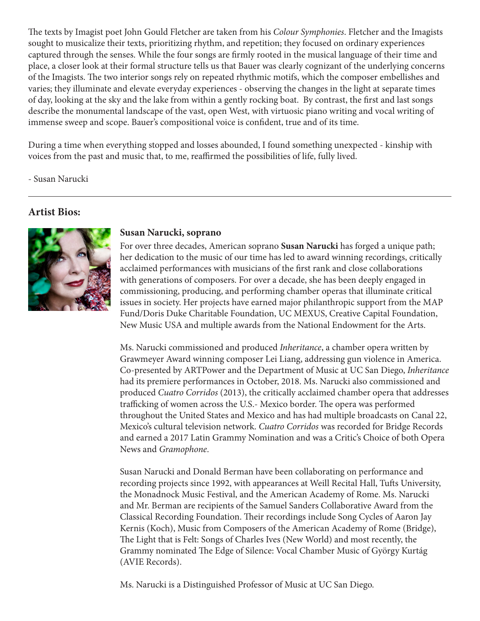The texts by Imagist poet John Gould Fletcher are taken from his *Colour Symphonies*. Fletcher and the Imagists sought to musicalize their texts, prioritizing rhythm, and repetition; they focused on ordinary experiences captured through the senses. While the four songs are firmly rooted in the musical language of their time and place, a closer look at their formal structure tells us that Bauer was clearly cognizant of the underlying concerns of the Imagists. The two interior songs rely on repeated rhythmic motifs, which the composer embellishes and varies; they illuminate and elevate everyday experiences - observing the changes in the light at separate times of day, looking at the sky and the lake from within a gently rocking boat. By contrast, the first and last songs describe the monumental landscape of the vast, open West, with virtuosic piano writing and vocal writing of immense sweep and scope. Bauer's compositional voice is confident, true and of its time.

During a time when everything stopped and losses abounded, I found something unexpected - kinship with voices from the past and music that, to me, reaffirmed the possibilities of life, fully lived.

- Susan Narucki

### **Artist Bios:**



#### **Susan Narucki, soprano**

For over three decades, American soprano **Susan Narucki** has forged a unique path; her dedication to the music of our time has led to award winning recordings, critically acclaimed performances with musicians of the first rank and close collaborations with generations of composers. For over a decade, she has been deeply engaged in commissioning, producing, and performing chamber operas that illuminate critical issues in society. Her projects have earned major philanthropic support from the MAP Fund/Doris Duke Charitable Foundation, UC MEXUS, Creative Capital Foundation, New Music USA and multiple awards from the National Endowment for the Arts.

Ms. Narucki commissioned and produced *Inheritance*, a chamber opera written by Grawmeyer Award winning composer Lei Liang, addressing gun violence in America. Co-presented by ARTPower and the Department of Music at UC San Diego, *Inheritance* had its premiere performances in October, 2018. Ms. Narucki also commissioned and produced *Cuatro Corridos* (2013), the critically acclaimed chamber opera that addresses trafficking of women across the U.S.- Mexico border. The opera was performed throughout the United States and Mexico and has had multiple broadcasts on Canal 22, Mexico's cultural television network. *Cuatro Corridos* was recorded for Bridge Records and earned a 2017 Latin Grammy Nomination and was a Critic's Choice of both Opera News and *Gramophone*.

Susan Narucki and Donald Berman have been collaborating on performance and recording projects since 1992, with appearances at Weill Recital Hall, Tufts University, the Monadnock Music Festival, and the American Academy of Rome. Ms. Narucki and Mr. Berman are recipients of the Samuel Sanders Collaborative Award from the Classical Recording Foundation. Their recordings include Song Cycles of Aaron Jay Kernis (Koch), Music from Composers of the American Academy of Rome (Bridge), The Light that is Felt: Songs of Charles Ives (New World) and most recently, the Grammy nominated The Edge of Silence: Vocal Chamber Music of György Kurtág (AVIE Records).

Ms. Narucki is a Distinguished Professor of Music at UC San Diego.